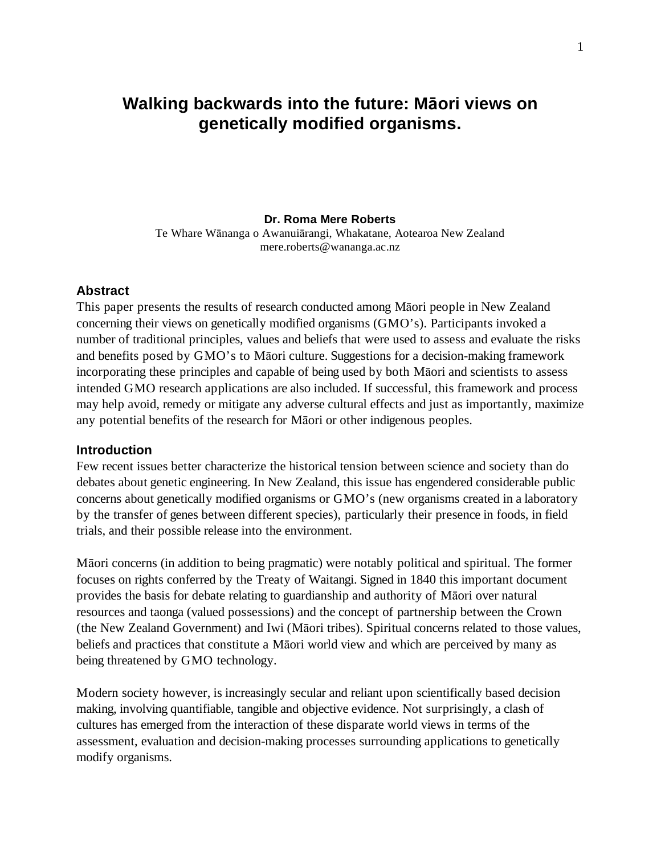# **Walking backwards into the future: Maori views on genetically modified organisms.**

#### **Dr. Roma Mere Roberts**

Te Whare Wānanga o Awanuiārangi, Whakatane, Aotearoa New Zealand mere.roberts@wananga.ac.nz

#### **Abstract**

This paper presents the results of research conducted among Matori people in New Zealand concerning their views on genetically modified organisms (GMO's). Participants invoked a number of traditional principles, values and beliefs that were used to assess and evaluate the risks and benefits posed by GMO's to Māori culture. Suggestions for a decision-making framework incorporating these principles and capable of being used by both Maori and scientists to assess intended GMO research applications are also included. If successful, this framework and process may help avoid, remedy or mitigate any adverse cultural effects and just as importantly, maximize any potential benefits of the research for Māori or other indigenous peoples.

#### **Introduction**

Few recent issues better characterize the historical tension between science and society than do debates about genetic engineering. In New Zealand, this issue has engendered considerable public concerns about genetically modified organisms or GMO's (new organisms created in a laboratory by the transfer of genes between different species), particularly their presence in foods, in field trials, and their possible release into the environment.

Māori concerns (in addition to being pragmatic) were notably political and spiritual. The former focuses on rights conferred by the Treaty of Waitangi. Signed in 1840 this important document provides the basis for debate relating to guardianship and authority of Maori over natural resources and taonga (valued possessions) and the concept of partnership between the Crown (the New Zealand Government) and Iwi (Māori tribes). Spiritual concerns related to those values, beliefs and practices that constitute a Māori world view and which are perceived by many as being threatened by GMO technology.

Modern society however, is increasingly secular and reliant upon scientifically based decision making, involving quantifiable, tangible and objective evidence. Not surprisingly, a clash of cultures has emerged from the interaction of these disparate world views in terms of the assessment, evaluation and decision-making processes surrounding applications to genetically modify organisms.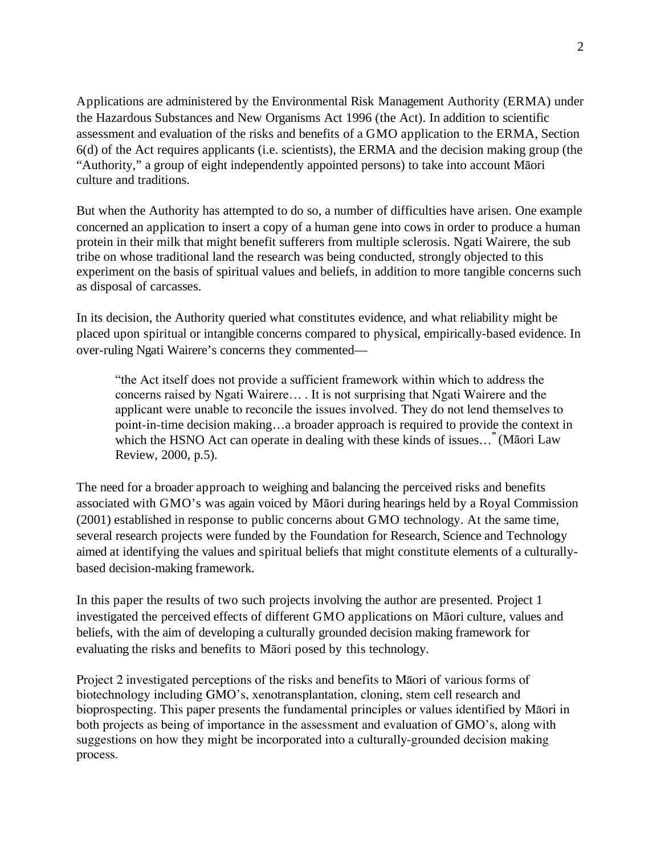Applications are administered by the Environmental Risk Management Authority (ERMA) under the Hazardous Substances and New Organisms Act 1996 (the Act). In addition to scientific assessment and evaluation of the risks and benefits of a GMO application to the ERMA, Section 6(d) of the Act requires applicants (i.e. scientists), the ERMA and the decision making group (the "Authority," a group of eight independently appointed persons) to take into account Matori culture and traditions.

But when the Authority has attempted to do so, a number of difficulties have arisen. One example concerned an application to insert a copy of a human gene into cows in order to produce a human protein in their milk that might benefit sufferers from multiple sclerosis. Ngati Wairere, the sub tribe on whose traditional land the research was being conducted, strongly objected to this experiment on the basis of spiritual values and beliefs, in addition to more tangible concerns such as disposal of carcasses.

In its decision, the Authority queried what constitutes evidence, and what reliability might be placed upon spiritual or intangible concerns compared to physical, empirically-based evidence. In over-ruling Ngati Wairere's concerns they commented—

"the Act itself does not provide a sufficient framework within which to address the concerns raised by Ngati Wairere… . It is not surprising that Ngati Wairere and the applicant were unable to reconcile the issues involved. They do not lend themselves to point-in-time decision making…a broader approach is required to provide the context in which the HSNO Act can operate in dealing with these kinds of issues..." (Māori Law Review, 2000, p.5).

The need for a broader approach to weighing and balancing the perceived risks and benefits associated with GMO's was again voiced by Māori during hearings held by a Royal Commission (2001) established in response to public concerns about GMO technology. At the same time, several research projects were funded by the Foundation for Research, Science and Technology aimed at identifying the values and spiritual beliefs that might constitute elements of a culturallybased decision-making framework.

In this paper the results of two such projects involving the author are presented. Project 1 investigated the perceived effects of different GMO applications on Māori culture, values and beliefs, with the aim of developing a culturally grounded decision making framework for evaluating the risks and benefits to Maori posed by this technology.

Project 2 investigated perceptions of the risks and benefits to Maori of various forms of biotechnology including GMO's, xenotransplantation, cloning, stem cell research and bioprospecting. This paper presents the fundamental principles or values identified by Maori in both projects as being of importance in the assessment and evaluation of GMO's, along with suggestions on how they might be incorporated into a culturally-grounded decision making process.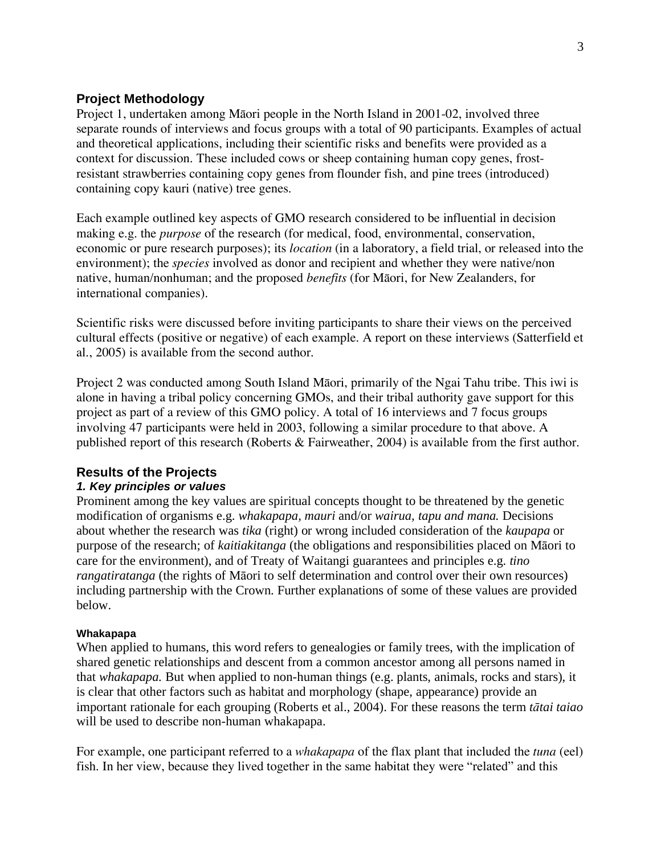# **Project Methodology**

Project 1, undertaken among Māori people in the North Island in 2001-02, involved three separate rounds of interviews and focus groups with a total of 90 participants. Examples of actual and theoretical applications, including their scientific risks and benefits were provided as a context for discussion. These included cows or sheep containing human copy genes, frostresistant strawberries containing copy genes from flounder fish, and pine trees (introduced) containing copy kauri (native) tree genes.

Each example outlined key aspects of GMO research considered to be influential in decision making e.g. the *purpose* of the research (for medical, food, environmental, conservation, economic or pure research purposes); its *location* (in a laboratory, a field trial, or released into the environment); the *species* involved as donor and recipient and whether they were native/non native, human/nonhuman; and the proposed *benefits* (for Maori, for New Zealanders, for international companies).

Scientific risks were discussed before inviting participants to share their views on the perceived cultural effects (positive or negative) of each example. A report on these interviews (Satterfield et al., 2005) is available from the second author.

Project 2 was conducted among South Island Māori, primarily of the Ngai Tahu tribe. This iwi is alone in having a tribal policy concerning GMOs, and their tribal authority gave support for this project as part of a review of this GMO policy. A total of 16 interviews and 7 focus groups involving 47 participants were held in 2003, following a similar procedure to that above. A published report of this research (Roberts & Fairweather, 2004) is available from the first author.

# **Results of the Projects**

# *1. Key principles or values*

Prominent among the key values are spiritual concepts thought to be threatened by the genetic modification of organisms e.g. *whakapapa, mauri* and/or *wairua, tapu and mana.* Decisions about whether the research was *tika* (right) or wrong included consideration of the *kaupapa* or purpose of the research; of *kaitiakitanga* (the obligations and responsibilities placed on Maori to care for the environment), and of Treaty of Waitangi guarantees and principles e.g. *tino rangatiratanga* (the rights of Māori to self determination and control over their own resources) including partnership with the Crown. Further explanations of some of these values are provided below.

#### **Whakapapa**

When applied to humans, this word refers to genealogies or family trees, with the implication of shared genetic relationships and descent from a common ancestor among all persons named in that *whakapapa.* But when applied to non-human things (e.g. plants, animals, rocks and stars), it is clear that other factors such as habitat and morphology (shape, appearance) provide an important rationale for each grouping (Roberts et al., 2004). For these reasons the term *ttai taiao* will be used to describe non-human whakapapa.

For example, one participant referred to a *whakapapa* of the flax plant that included the *tuna* (eel) fish. In her view, because they lived together in the same habitat they were "related" and this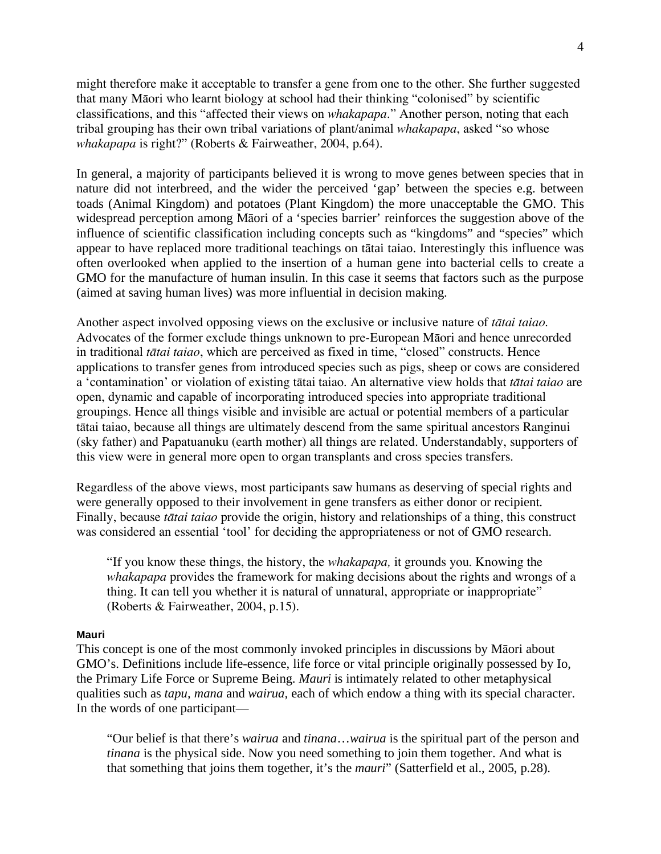might therefore make it acceptable to transfer a gene from one to the other. She further suggested that many Māori who learnt biology at school had their thinking "colonised" by scientific classifications, and this "affected their views on *whakapapa*." Another person, noting that each tribal grouping has their own tribal variations of plant/animal *whakapapa*, asked "so whose *whakapapa* is right?" (Roberts & Fairweather, 2004, p.64).

In general, a majority of participants believed it is wrong to move genes between species that in nature did not interbreed, and the wider the perceived 'gap' between the species e.g. between toads (Animal Kingdom) and potatoes (Plant Kingdom) the more unacceptable the GMO. This widespread perception among Māori of a 'species barrier' reinforces the suggestion above of the influence of scientific classification including concepts such as "kingdoms" and "species" which appear to have replaced more traditional teachings on tātai taiao. Interestingly this influence was often overlooked when applied to the insertion of a human gene into bacterial cells to create a GMO for the manufacture of human insulin. In this case it seems that factors such as the purpose (aimed at saving human lives) was more influential in decision making.

Another aspect involved opposing views on the exclusive or inclusive nature of *ttai taiao*. Advocates of the former exclude things unknown to pre-European Maori and hence unrecorded in traditional *ttai taiao*, which are perceived as fixed in time, "closed" constructs. Hence applications to transfer genes from introduced species such as pigs, sheep or cows are considered a 'contamination' or violation of existing tātai taiao. An alternative view holds that *tātai taiao* are open, dynamic and capable of incorporating introduced species into appropriate traditional groupings. Hence all things visible and invisible are actual or potential members of a particular tātai taiao, because all things are ultimately descend from the same spiritual ancestors Ranginui (sky father) and Papatuanuku (earth mother) all things are related. Understandably, supporters of this view were in general more open to organ transplants and cross species transfers.

Regardless of the above views, most participants saw humans as deserving of special rights and were generally opposed to their involvement in gene transfers as either donor or recipient. Finally, because *ttai taiao* provide the origin, history and relationships of a thing, this construct was considered an essential 'tool' for deciding the appropriateness or not of GMO research.

"If you know these things, the history, the *whakapapa,* it grounds you. Knowing the *whakapapa* provides the framework for making decisions about the rights and wrongs of a thing. It can tell you whether it is natural of unnatural, appropriate or inappropriate" (Roberts & Fairweather, 2004, p.15).

#### **Mauri**

This concept is one of the most commonly invoked principles in discussions by Māori about GMO's. Definitions include life-essence, life force or vital principle originally possessed by Io, the Primary Life Force or Supreme Being. *Mauri* is intimately related to other metaphysical qualities such as *tapu, mana* and *wairua,* each of which endow a thing with its special character. In the words of one participant—

"Our belief is that there's *wairua* and *tinana*…*wairua* is the spiritual part of the person and *tinana* is the physical side. Now you need something to join them together. And what is that something that joins them together, it's the *mauri*" (Satterfield et al., 2005, p.28).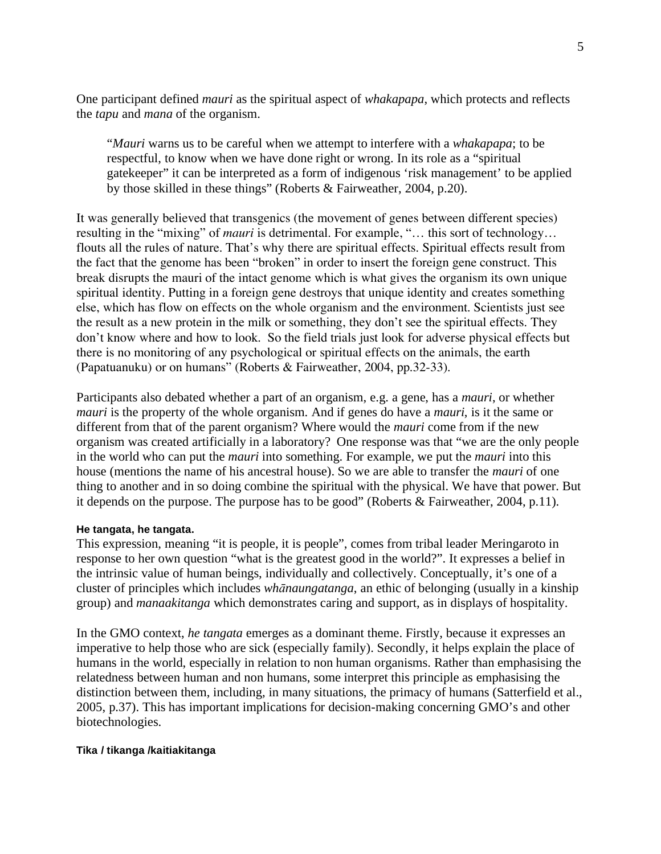One participant defined *mauri* as the spiritual aspect of *whakapapa*, which protects and reflects the *tapu* and *mana* of the organism.

"*Mauri* warns us to be careful when we attempt to interfere with a *whakapapa*; to be respectful, to know when we have done right or wrong. In its role as a "spiritual gatekeeper" it can be interpreted as a form of indigenous 'risk management' to be applied by those skilled in these things" (Roberts & Fairweather, 2004, p.20).

It was generally believed that transgenics (the movement of genes between different species) resulting in the "mixing" of *mauri* is detrimental. For example, "… this sort of technology… flouts all the rules of nature. That's why there are spiritual effects. Spiritual effects result from the fact that the genome has been "broken" in order to insert the foreign gene construct. This break disrupts the mauri of the intact genome which is what gives the organism its own unique spiritual identity. Putting in a foreign gene destroys that unique identity and creates something else, which has flow on effects on the whole organism and the environment. Scientists just see the result as a new protein in the milk or something, they don't see the spiritual effects. They don't know where and how to look. So the field trials just look for adverse physical effects but there is no monitoring of any psychological or spiritual effects on the animals, the earth (Papatuanuku) or on humans" (Roberts & Fairweather, 2004, pp.32-33).

Participants also debated whether a part of an organism, e.g. a gene, has a *mauri*, or whether *mauri* is the property of the whole organism. And if genes do have a *mauri*, is it the same or different from that of the parent organism? Where would the *mauri* come from if the new organism was created artificially in a laboratory? One response was that "we are the only people in the world who can put the *mauri* into something. For example, we put the *mauri* into this house (mentions the name of his ancestral house). So we are able to transfer the *mauri* of one thing to another and in so doing combine the spiritual with the physical. We have that power. But it depends on the purpose. The purpose has to be good" (Roberts & Fairweather, 2004, p.11).

#### **He tangata, he tangata.**

This expression, meaning "it is people, it is people", comes from tribal leader Meringaroto in response to her own question "what is the greatest good in the world?". It expresses a belief in the intrinsic value of human beings, individually and collectively. Conceptually, it's one of a cluster of principles which includes *whnaungatanga*, an ethic of belonging (usually in a kinship group) and *manaakitanga* which demonstrates caring and support, as in displays of hospitality.

In the GMO context, *he tangata* emerges as a dominant theme. Firstly, because it expresses an imperative to help those who are sick (especially family). Secondly, it helps explain the place of humans in the world, especially in relation to non human organisms. Rather than emphasising the relatedness between human and non humans, some interpret this principle as emphasising the distinction between them, including, in many situations, the primacy of humans (Satterfield et al., 2005, p.37). This has important implications for decision-making concerning GMO's and other biotechnologies.

#### **Tika / tikanga /kaitiakitanga**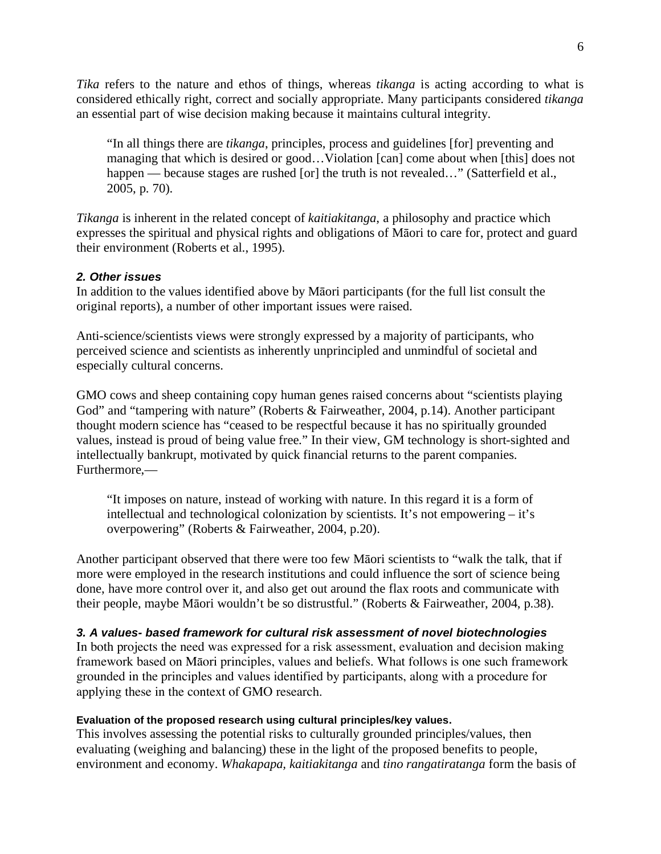*Tika* refers to the nature and ethos of things, whereas *tikanga* is acting according to what is considered ethically right, correct and socially appropriate. Many participants considered *tikanga*  an essential part of wise decision making because it maintains cultural integrity.

"In all things there are *tikanga*, principles, process and guidelines [for] preventing and managing that which is desired or good…Violation [can] come about when [this] does not happen — because stages are rushed [or] the truth is not revealed..." (Satterfield et al., 2005, p. 70).

*Tikanga* is inherent in the related concept of *kaitiakitanga*, a philosophy and practice which expresses the spiritual and physical rights and obligations of Maori to care for, protect and guard their environment (Roberts et al., 1995).

# *2. Other issues*

In addition to the values identified above by Matori participants (for the full list consult the original reports), a number of other important issues were raised.

Anti-science/scientists views were strongly expressed by a majority of participants, who perceived science and scientists as inherently unprincipled and unmindful of societal and especially cultural concerns.

GMO cows and sheep containing copy human genes raised concerns about "scientists playing God" and "tampering with nature" (Roberts & Fairweather, 2004, p.14). Another participant thought modern science has "ceased to be respectful because it has no spiritually grounded values, instead is proud of being value free." In their view, GM technology is short-sighted and intellectually bankrupt, motivated by quick financial returns to the parent companies. Furthermore,—

"It imposes on nature, instead of working with nature. In this regard it is a form of intellectual and technological colonization by scientists. It's not empowering – it's overpowering" (Roberts & Fairweather, 2004, p.20).

Another participant observed that there were too few Maori scientists to "walk the talk, that if more were employed in the research institutions and could influence the sort of science being done, have more control over it, and also get out around the flax roots and communicate with their people, maybe Māori wouldn't be so distrustful." (Roberts & Fairweather, 2004, p.38).

# *3. A values- based framework for cultural risk assessment of novel biotechnologies*

In both projects the need was expressed for a risk assessment, evaluation and decision making framework based on Māori principles, values and beliefs. What follows is one such framework grounded in the principles and values identified by participants, along with a procedure for applying these in the context of GMO research.

# **Evaluation of the proposed research using cultural principles/key values.**

This involves assessing the potential risks to culturally grounded principles/values, then evaluating (weighing and balancing) these in the light of the proposed benefits to people, environment and economy. *Whakapapa, kaitiakitanga* and *tino rangatiratanga* form the basis of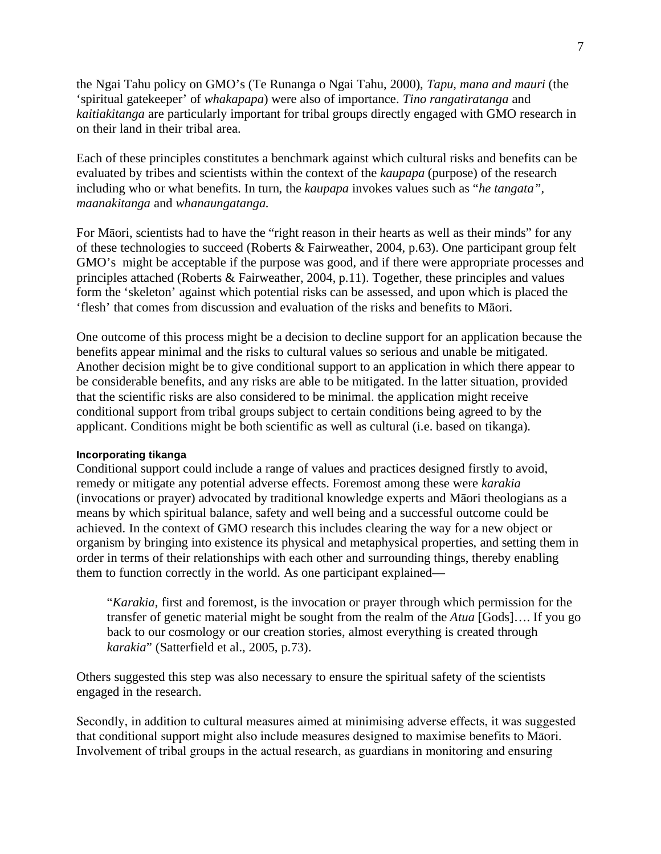the Ngai Tahu policy on GMO's (Te Runanga o Ngai Tahu, 2000), *Tapu, mana and mauri* (the 'spiritual gatekeeper' of *whakapapa*) were also of importance. *Tino rangatiratanga* and *kaitiakitanga* are particularly important for tribal groups directly engaged with GMO research in on their land in their tribal area.

Each of these principles constitutes a benchmark against which cultural risks and benefits can be evaluated by tribes and scientists within the context of the *kaupapa* (purpose) of the research including who or what benefits. In turn, the *kaupapa* invokes values such as "*he tangata", maanakitanga* and *whanaungatanga.*

For Māori, scientists had to have the "right reason in their hearts as well as their minds" for any of these technologies to succeed (Roberts & Fairweather, 2004, p.63). One participant group felt GMO's might be acceptable if the purpose was good, and if there were appropriate processes and principles attached (Roberts & Fairweather, 2004, p.11). Together, these principles and values form the 'skeleton' against which potential risks can be assessed, and upon which is placed the 'flesh' that comes from discussion and evaluation of the risks and benefits to Maori.

One outcome of this process might be a decision to decline support for an application because the benefits appear minimal and the risks to cultural values so serious and unable be mitigated. Another decision might be to give conditional support to an application in which there appear to be considerable benefits, and any risks are able to be mitigated. In the latter situation, provided that the scientific risks are also considered to be minimal. the application might receive conditional support from tribal groups subject to certain conditions being agreed to by the applicant. Conditions might be both scientific as well as cultural (i.e. based on tikanga).

#### **Incorporating tikanga**

Conditional support could include a range of values and practices designed firstly to avoid, remedy or mitigate any potential adverse effects. Foremost among these were *karakia*  $(i)$ nvocations or prayer) advocated by traditional knowledge experts and Ma $\overline{a}$ ori theologians as a means by which spiritual balance, safety and well being and a successful outcome could be achieved. In the context of GMO research this includes clearing the way for a new object or organism by bringing into existence its physical and metaphysical properties, and setting them in order in terms of their relationships with each other and surrounding things, thereby enabling them to function correctly in the world. As one participant explained—

"*Karakia*, first and foremost, is the invocation or prayer through which permission for the transfer of genetic material might be sought from the realm of the *Atua* [Gods]…. If you go back to our cosmology or our creation stories, almost everything is created through *karakia*" (Satterfield et al., 2005, p.73).

Others suggested this step was also necessary to ensure the spiritual safety of the scientists engaged in the research.

Secondly, in addition to cultural measures aimed at minimising adverse effects, it was suggested that conditional support might also include measures designed to maximise benefits to Māori. Involvement of tribal groups in the actual research, as guardians in monitoring and ensuring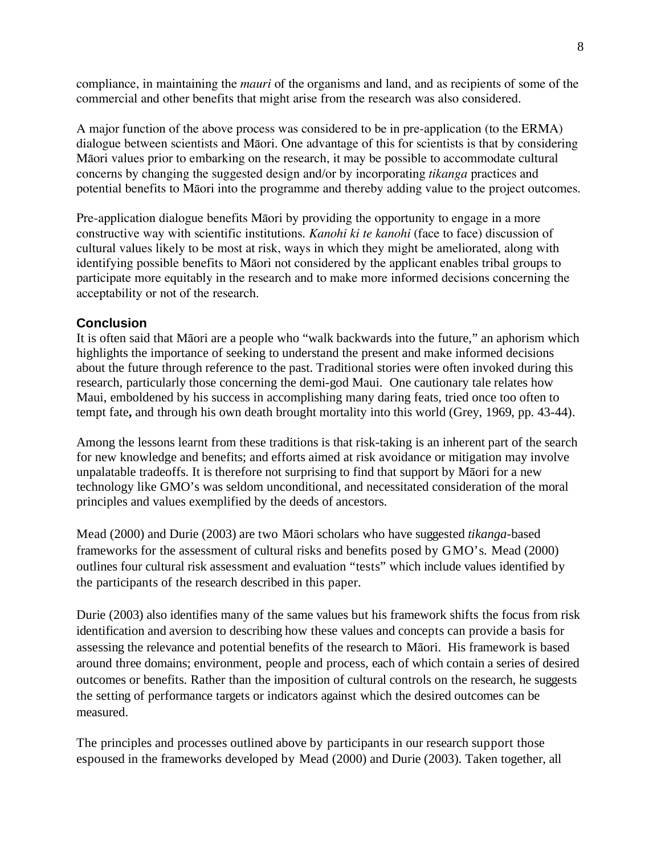compliance, in maintaining the *mauri* of the organisms and land, and as recipients of some of the commercial and other benefits that might arise from the research was also considered.

A major function of the above process was considered to be in pre-application (to the ERMA) dialogue between scientists and Māori. One advantage of this for scientists is that by considering Māori values prior to embarking on the research, it may be possible to accommodate cultural concerns by changing the suggested design and/or by incorporating *tikanga* practices and potential benefits to Māori into the programme and thereby adding value to the project outcomes.

Pre-application dialogue benefits M<sub>a</sub> or by providing the opportunity to engage in a more constructive way with scientific institutions. *Kanohi ki te kanohi* (face to face) discussion of cultural values likely to be most at risk, ways in which they might be ameliorated, along with identifying possible benefits to Maori not considered by the applicant enables tribal groups to participate more equitably in the research and to make more informed decisions concerning the acceptability or not of the research.

# **Conclusion**

It is often said that Māori are a people who "walk backwards into the future," an aphorism which highlights the importance of seeking to understand the present and make informed decisions about the future through reference to the past. Traditional stories were often invoked during this research, particularly those concerning the demi-god Maui. One cautionary tale relates how Maui, emboldened by his success in accomplishing many daring feats, tried once too often to tempt fate**,** and through his own death brought mortality into this world (Grey, 1969, pp. 43-44).

Among the lessons learnt from these traditions is that risk-taking is an inherent part of the search for new knowledge and benefits; and efforts aimed at risk avoidance or mitigation may involve unpalatable tradeoffs. It is therefore not surprising to find that support by Maori for a new technology like GMO's was seldom unconditional, and necessitated consideration of the moral principles and values exemplified by the deeds of ancestors.

Mead (2000) and Durie (2003) are two Māori scholars who have suggested *tikanga*-based frameworks for the assessment of cultural risks and benefits posed by GMO's. Mead (2000) outlines four cultural risk assessment and evaluation "tests" which include values identified by the participants of the research described in this paper.

Durie (2003) also identifies many of the same values but his framework shifts the focus from risk identification and aversion to describing how these values and concepts can provide a basis for assessing the relevance and potential benefits of the research to Maori. His framework is based around three domains; environment, people and process, each of which contain a series of desired outcomes or benefits. Rather than the imposition of cultural controls on the research, he suggests the setting of performance targets or indicators against which the desired outcomes can be measured.

The principles and processes outlined above by participants in our research support those espoused in the frameworks developed by Mead (2000) and Durie (2003). Taken together, all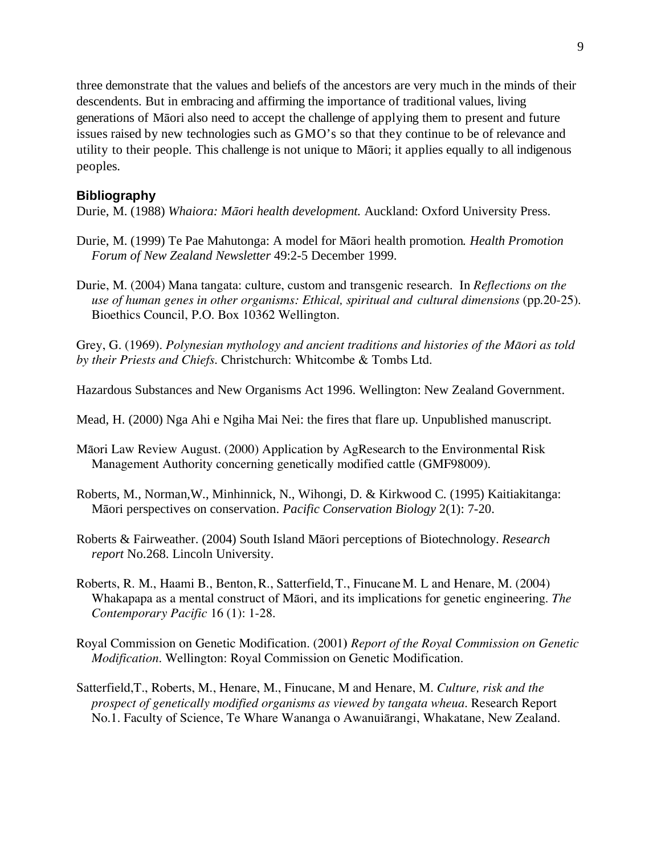three demonstrate that the values and beliefs of the ancestors are very much in the minds of their descendents. But in embracing and affirming the importance of traditional values, living generations of Māori also need to accept the challenge of applying them to present and future issues raised by new technologies such as GMO's so that they continue to be of relevance and utility to their people. This challenge is not unique to Matori; it applies equally to all indigenous peoples.

# **Bibliography**

Durie, M. (1988) *Whaiora: Mori health development.* Auckland: Oxford University Press.

- Durie, M. (1999) Te Pae Mahutonga: A model for Māori health promotion. *Health Promotion Forum of New Zealand Newsletter* 49:2-5 December 1999.
- Durie, M. (2004) Mana tangata: culture, custom and transgenic research. In *Reflections on the use of human genes in other organisms: Ethical, spiritual and cultural dimensions* (pp.20-25). Bioethics Council, P.O. Box 10362 Wellington.

Grey, G. (1969). *Polynesian mythology and ancient traditions and histories of the Maori as told by their Priests and Chiefs*. Christchurch: Whitcombe & Tombs Ltd.

Hazardous Substances and New Organisms Act 1996. Wellington: New Zealand Government.

Mead, H. (2000) Nga Ahi e Ngiha Mai Nei: the fires that flare up. Unpublished manuscript.

- Māori Law Review August. (2000) Application by AgResearch to the Environmental Risk Management Authority concerning genetically modified cattle (GMF98009).
- Roberts, M., Norman,W., Minhinnick, N., Wihongi, D. & Kirkwood C. (1995) Kaitiakitanga: Māori perspectives on conservation. *Pacific Conservation Biology* 2(1): 7-20.
- Roberts & Fairweather. (2004) South Island Māori perceptions of Biotechnology. *Research report* No.268. Lincoln University.
- Roberts, R. M., Haami B., Benton,R., Satterfield,T., FinucaneM. L and Henare, M. (2004) Whakapapa as a mental construct of Māori, and its implications for genetic engineering. *The Contemporary Pacific* 16 (1): 1-28.
- Royal Commission on Genetic Modification. (2001**)** *Report of the Royal Commission on Genetic Modification.* Wellington: Royal Commission on Genetic Modification.
- Satterfield,T., Roberts, M., Henare, M., Finucane, M and Henare, M. *Culture, risk and the prospect of genetically modified organisms as viewed by tangata wheua*. Research Report No.1. Faculty of Science, Te Whare Wananga o Awanuiarangi, Whakatane, New Zealand.